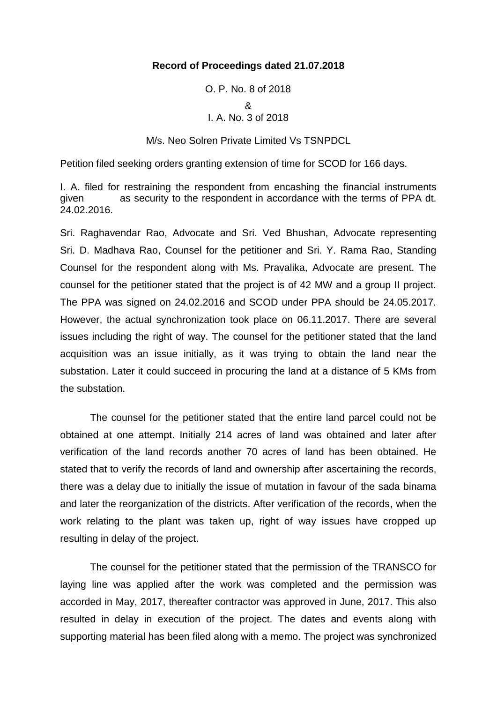### **Record of Proceedings dated 21.07.2018**

# O. P. No. 8 of 2018 & I. A. No. 3 of 2018

M/s. Neo Solren Private Limited Vs TSNPDCL

Petition filed seeking orders granting extension of time for SCOD for 166 days.

I. A. filed for restraining the respondent from encashing the financial instruments given as security to the respondent in accordance with the terms of PPA dt. 24.02.2016.

Sri. Raghavendar Rao, Advocate and Sri. Ved Bhushan, Advocate representing Sri. D. Madhava Rao, Counsel for the petitioner and Sri. Y. Rama Rao, Standing Counsel for the respondent along with Ms. Pravalika, Advocate are present. The counsel for the petitioner stated that the project is of 42 MW and a group II project. The PPA was signed on 24.02.2016 and SCOD under PPA should be 24.05.2017. However, the actual synchronization took place on 06.11.2017. There are several issues including the right of way. The counsel for the petitioner stated that the land acquisition was an issue initially, as it was trying to obtain the land near the substation. Later it could succeed in procuring the land at a distance of 5 KMs from the substation.

The counsel for the petitioner stated that the entire land parcel could not be obtained at one attempt. Initially 214 acres of land was obtained and later after verification of the land records another 70 acres of land has been obtained. He stated that to verify the records of land and ownership after ascertaining the records, there was a delay due to initially the issue of mutation in favour of the sada binama and later the reorganization of the districts. After verification of the records, when the work relating to the plant was taken up, right of way issues have cropped up resulting in delay of the project.

The counsel for the petitioner stated that the permission of the TRANSCO for laying line was applied after the work was completed and the permission was accorded in May, 2017, thereafter contractor was approved in June, 2017. This also resulted in delay in execution of the project. The dates and events along with supporting material has been filed along with a memo. The project was synchronized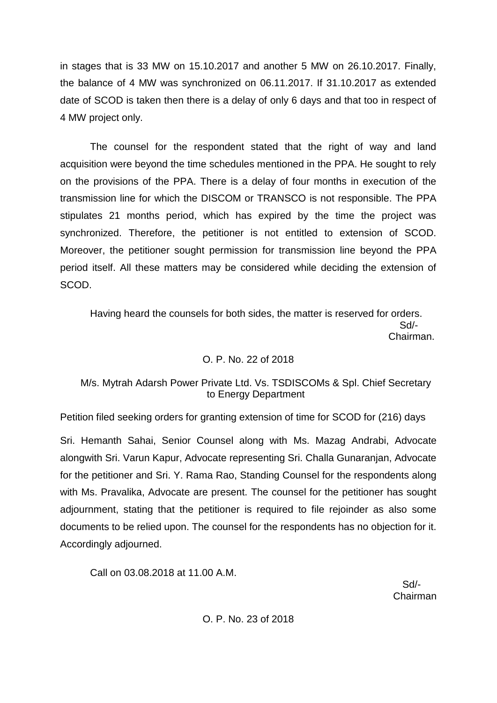in stages that is 33 MW on 15.10.2017 and another 5 MW on 26.10.2017. Finally, the balance of 4 MW was synchronized on 06.11.2017. If 31.10.2017 as extended date of SCOD is taken then there is a delay of only 6 days and that too in respect of 4 MW project only.

The counsel for the respondent stated that the right of way and land acquisition were beyond the time schedules mentioned in the PPA. He sought to rely on the provisions of the PPA. There is a delay of four months in execution of the transmission line for which the DISCOM or TRANSCO is not responsible. The PPA stipulates 21 months period, which has expired by the time the project was synchronized. Therefore, the petitioner is not entitled to extension of SCOD. Moreover, the petitioner sought permission for transmission line beyond the PPA period itself. All these matters may be considered while deciding the extension of SCOD.

Having heard the counsels for both sides, the matter is reserved for orders. Sd/- Chairman.

# O. P. No. 22 of 2018

# M/s. Mytrah Adarsh Power Private Ltd. Vs. TSDISCOMs & Spl. Chief Secretary to Energy Department

Petition filed seeking orders for granting extension of time for SCOD for (216) days

Sri. Hemanth Sahai, Senior Counsel along with Ms. Mazag Andrabi, Advocate alongwith Sri. Varun Kapur, Advocate representing Sri. Challa Gunaranjan, Advocate for the petitioner and Sri. Y. Rama Rao, Standing Counsel for the respondents along with Ms. Pravalika, Advocate are present. The counsel for the petitioner has sought adjournment, stating that the petitioner is required to file rejoinder as also some documents to be relied upon. The counsel for the respondents has no objection for it. Accordingly adjourned.

Call on 03.08.2018 at 11.00 A.M.

 Sd/- Chairman

O. P. No. 23 of 2018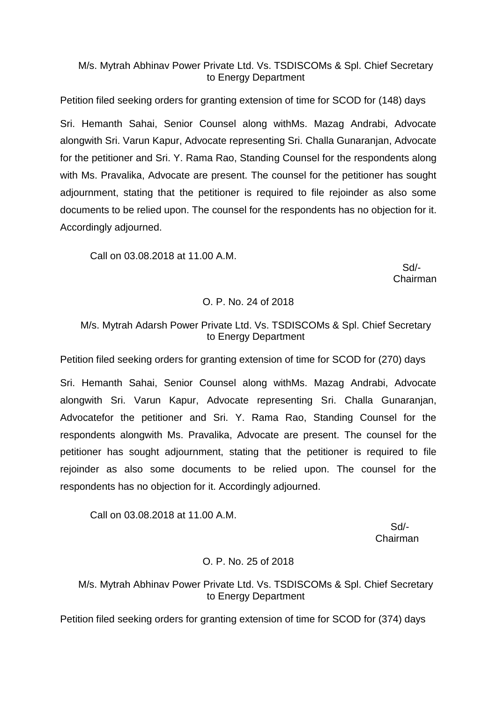# M/s. Mytrah Abhinav Power Private Ltd. Vs. TSDISCOMs & Spl. Chief Secretary to Energy Department

Petition filed seeking orders for granting extension of time for SCOD for (148) days Sri. Hemanth Sahai, Senior Counsel along withMs. Mazag Andrabi, Advocate alongwith Sri. Varun Kapur, Advocate representing Sri. Challa Gunaranjan, Advocate for the petitioner and Sri. Y. Rama Rao, Standing Counsel for the respondents along with Ms. Pravalika, Advocate are present. The counsel for the petitioner has sought adjournment, stating that the petitioner is required to file rejoinder as also some documents to be relied upon. The counsel for the respondents has no objection for it. Accordingly adjourned.

Call on 03.08.2018 at 11.00 A.M.

 Sd/- Chairman

# O. P. No. 24 of 2018

# M/s. Mytrah Adarsh Power Private Ltd. Vs. TSDISCOMs & Spl. Chief Secretary to Energy Department

Petition filed seeking orders for granting extension of time for SCOD for (270) days

Sri. Hemanth Sahai, Senior Counsel along withMs. Mazag Andrabi, Advocate alongwith Sri. Varun Kapur, Advocate representing Sri. Challa Gunaranjan, Advocatefor the petitioner and Sri. Y. Rama Rao, Standing Counsel for the respondents alongwith Ms. Pravalika, Advocate are present. The counsel for the petitioner has sought adjournment, stating that the petitioner is required to file rejoinder as also some documents to be relied upon. The counsel for the respondents has no objection for it. Accordingly adjourned.

Call on 03.08.2018 at 11.00 A.M.

Sd/- Chairman

# O. P. No. 25 of 2018

# M/s. Mytrah Abhinav Power Private Ltd. Vs. TSDISCOMs & Spl. Chief Secretary to Energy Department

Petition filed seeking orders for granting extension of time for SCOD for (374) days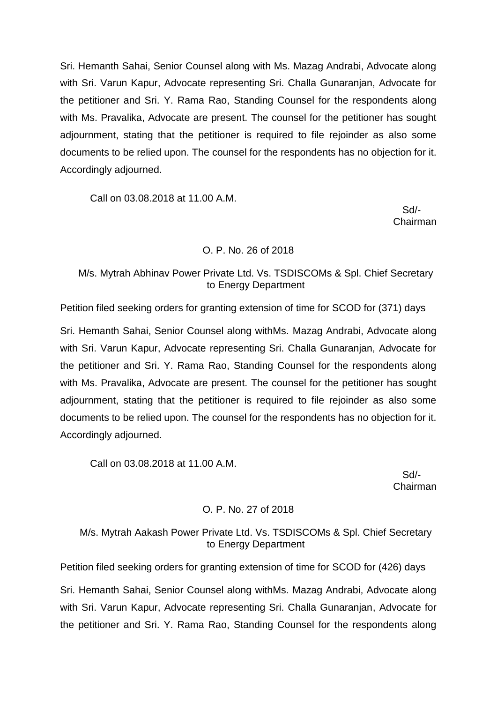Sri. Hemanth Sahai, Senior Counsel along with Ms. Mazag Andrabi, Advocate along with Sri. Varun Kapur, Advocate representing Sri. Challa Gunaranjan, Advocate for the petitioner and Sri. Y. Rama Rao, Standing Counsel for the respondents along with Ms. Pravalika, Advocate are present. The counsel for the petitioner has sought adjournment, stating that the petitioner is required to file rejoinder as also some documents to be relied upon. The counsel for the respondents has no objection for it. Accordingly adjourned.

Call on 03.08.2018 at 11.00 A.M.

 Sd/- Chairman

### O. P. No. 26 of 2018

# M/s. Mytrah Abhinav Power Private Ltd. Vs. TSDISCOMs & Spl. Chief Secretary to Energy Department

Petition filed seeking orders for granting extension of time for SCOD for (371) days

Sri. Hemanth Sahai, Senior Counsel along withMs. Mazag Andrabi, Advocate along with Sri. Varun Kapur, Advocate representing Sri. Challa Gunaranjan, Advocate for the petitioner and Sri. Y. Rama Rao, Standing Counsel for the respondents along with Ms. Pravalika, Advocate are present. The counsel for the petitioner has sought adjournment, stating that the petitioner is required to file rejoinder as also some documents to be relied upon. The counsel for the respondents has no objection for it. Accordingly adjourned.

Call on 03.08.2018 at 11.00 A.M.

 Sd/- Chairman

# O. P. No. 27 of 2018

# M/s. Mytrah Aakash Power Private Ltd. Vs. TSDISCOMs & Spl. Chief Secretary to Energy Department

Petition filed seeking orders for granting extension of time for SCOD for (426) days

Sri. Hemanth Sahai, Senior Counsel along withMs. Mazag Andrabi, Advocate along with Sri. Varun Kapur, Advocate representing Sri. Challa Gunaranjan, Advocate for the petitioner and Sri. Y. Rama Rao, Standing Counsel for the respondents along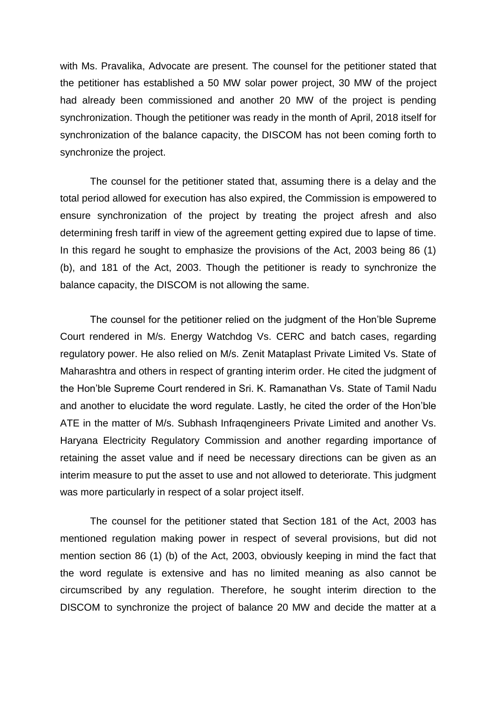with Ms. Pravalika, Advocate are present. The counsel for the petitioner stated that the petitioner has established a 50 MW solar power project, 30 MW of the project had already been commissioned and another 20 MW of the project is pending synchronization. Though the petitioner was ready in the month of April, 2018 itself for synchronization of the balance capacity, the DISCOM has not been coming forth to synchronize the project.

The counsel for the petitioner stated that, assuming there is a delay and the total period allowed for execution has also expired, the Commission is empowered to ensure synchronization of the project by treating the project afresh and also determining fresh tariff in view of the agreement getting expired due to lapse of time. In this regard he sought to emphasize the provisions of the Act, 2003 being 86 (1) (b), and 181 of the Act, 2003. Though the petitioner is ready to synchronize the balance capacity, the DISCOM is not allowing the same.

The counsel for the petitioner relied on the judgment of the Hon'ble Supreme Court rendered in M/s. Energy Watchdog Vs. CERC and batch cases, regarding regulatory power. He also relied on M/s. Zenit Mataplast Private Limited Vs. State of Maharashtra and others in respect of granting interim order. He cited the judgment of the Hon'ble Supreme Court rendered in Sri. K. Ramanathan Vs. State of Tamil Nadu and another to elucidate the word regulate. Lastly, he cited the order of the Hon'ble ATE in the matter of M/s. Subhash Infraqengineers Private Limited and another Vs. Haryana Electricity Regulatory Commission and another regarding importance of retaining the asset value and if need be necessary directions can be given as an interim measure to put the asset to use and not allowed to deteriorate. This judgment was more particularly in respect of a solar project itself.

The counsel for the petitioner stated that Section 181 of the Act, 2003 has mentioned regulation making power in respect of several provisions, but did not mention section 86 (1) (b) of the Act, 2003, obviously keeping in mind the fact that the word regulate is extensive and has no limited meaning as also cannot be circumscribed by any regulation. Therefore, he sought interim direction to the DISCOM to synchronize the project of balance 20 MW and decide the matter at a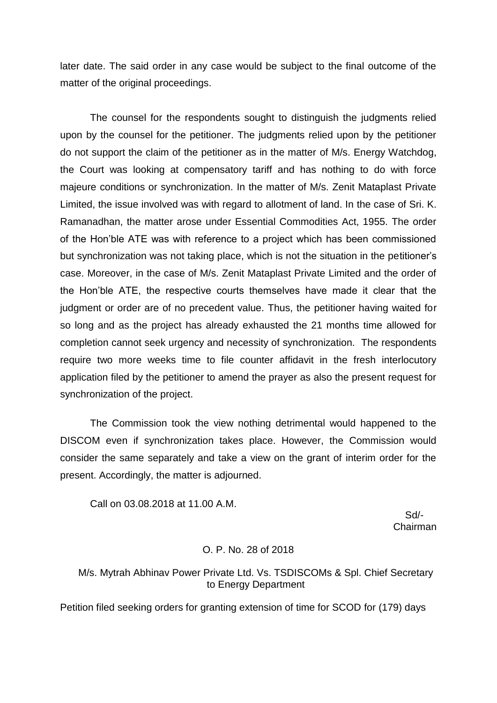later date. The said order in any case would be subject to the final outcome of the matter of the original proceedings.

The counsel for the respondents sought to distinguish the judgments relied upon by the counsel for the petitioner. The judgments relied upon by the petitioner do not support the claim of the petitioner as in the matter of M/s. Energy Watchdog, the Court was looking at compensatory tariff and has nothing to do with force majeure conditions or synchronization. In the matter of M/s. Zenit Mataplast Private Limited, the issue involved was with regard to allotment of land. In the case of Sri. K. Ramanadhan, the matter arose under Essential Commodities Act, 1955. The order of the Hon'ble ATE was with reference to a project which has been commissioned but synchronization was not taking place, which is not the situation in the petitioner's case. Moreover, in the case of M/s. Zenit Mataplast Private Limited and the order of the Hon'ble ATE, the respective courts themselves have made it clear that the judgment or order are of no precedent value. Thus, the petitioner having waited for so long and as the project has already exhausted the 21 months time allowed for completion cannot seek urgency and necessity of synchronization. The respondents require two more weeks time to file counter affidavit in the fresh interlocutory application filed by the petitioner to amend the prayer as also the present request for synchronization of the project.

The Commission took the view nothing detrimental would happened to the DISCOM even if synchronization takes place. However, the Commission would consider the same separately and take a view on the grant of interim order for the present. Accordingly, the matter is adjourned.

Call on 03.08.2018 at 11.00 A.M.

 Sd/- Chairman

#### O. P. No. 28 of 2018

## M/s. Mytrah Abhinav Power Private Ltd. Vs. TSDISCOMs & Spl. Chief Secretary to Energy Department

Petition filed seeking orders for granting extension of time for SCOD for (179) days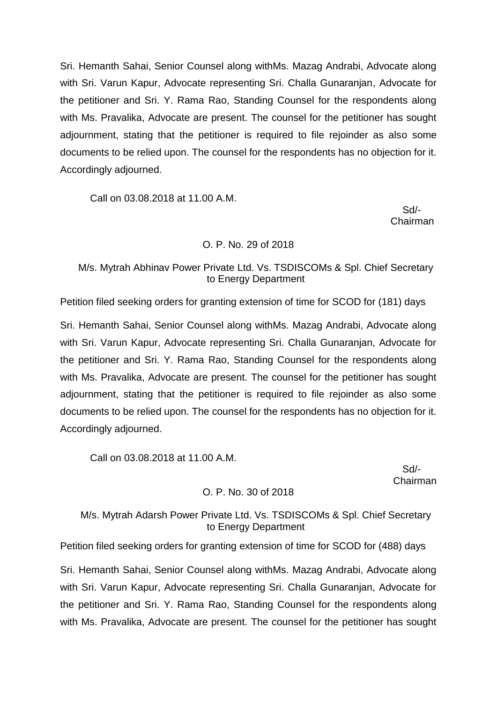Sri. Hemanth Sahai, Senior Counsel along withMs. Mazag Andrabi, Advocate along with Sri. Varun Kapur, Advocate representing Sri. Challa Gunaranjan, Advocate for the petitioner and Sri. Y. Rama Rao, Standing Counsel for the respondents along with Ms. Pravalika, Advocate are present. The counsel for the petitioner has sought adjournment, stating that the petitioner is required to file rejoinder as also some documents to be relied upon. The counsel for the respondents has no objection for it. Accordingly adjourned.

Call on 03.08.2018 at 11.00 A.M.

Sd/- Chairman

### O. P. No. 29 of 2018

# M/s. Mytrah Abhinav Power Private Ltd. Vs. TSDISCOMs & Spl. Chief Secretary to Energy Department

Petition filed seeking orders for granting extension of time for SCOD for (181) days

Sri. Hemanth Sahai, Senior Counsel along withMs. Mazag Andrabi, Advocate along with Sri. Varun Kapur, Advocate representing Sri. Challa Gunaranjan, Advocate for the petitioner and Sri. Y. Rama Rao, Standing Counsel for the respondents along with Ms. Pravalika, Advocate are present. The counsel for the petitioner has sought adjournment, stating that the petitioner is required to file rejoinder as also some documents to be relied upon. The counsel for the respondents has no objection for it. Accordingly adjourned.

Call on 03.08.2018 at 11.00 A.M.

 Sd/- Chairman

# O. P. No. 30 of 2018

# M/s. Mytrah Adarsh Power Private Ltd. Vs. TSDISCOMs & Spl. Chief Secretary to Energy Department

Petition filed seeking orders for granting extension of time for SCOD for (488) days

Sri. Hemanth Sahai, Senior Counsel along withMs. Mazag Andrabi, Advocate along with Sri. Varun Kapur, Advocate representing Sri. Challa Gunaranjan, Advocate for the petitioner and Sri. Y. Rama Rao, Standing Counsel for the respondents along with Ms. Pravalika, Advocate are present. The counsel for the petitioner has sought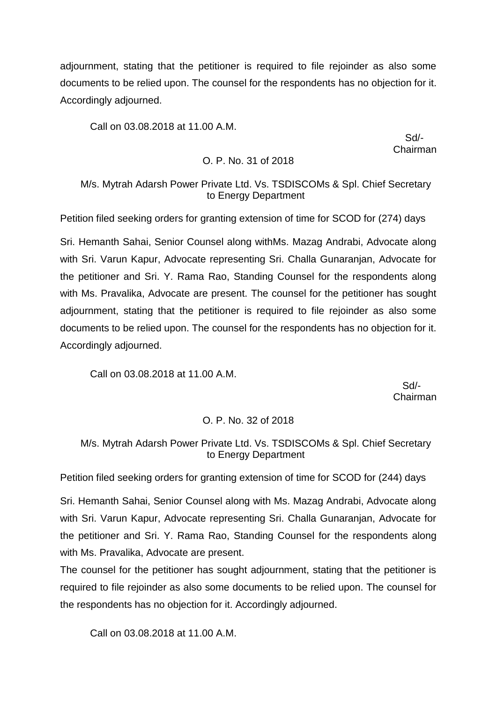adjournment, stating that the petitioner is required to file rejoinder as also some documents to be relied upon. The counsel for the respondents has no objection for it. Accordingly adjourned.

Call on 03.08.2018 at 11.00 A.M.

 Sd/- Chairman

### O. P. No. 31 of 2018

# M/s. Mytrah Adarsh Power Private Ltd. Vs. TSDISCOMs & Spl. Chief Secretary to Energy Department

Petition filed seeking orders for granting extension of time for SCOD for (274) days

Sri. Hemanth Sahai, Senior Counsel along withMs. Mazag Andrabi, Advocate along with Sri. Varun Kapur, Advocate representing Sri. Challa Gunaranjan, Advocate for the petitioner and Sri. Y. Rama Rao, Standing Counsel for the respondents along with Ms. Pravalika, Advocate are present. The counsel for the petitioner has sought adjournment, stating that the petitioner is required to file rejoinder as also some documents to be relied upon. The counsel for the respondents has no objection for it. Accordingly adjourned.

Call on 03.08.2018 at 11.00 A.M.

 Sd/- Chairman

#### O. P. No. 32 of 2018

# M/s. Mytrah Adarsh Power Private Ltd. Vs. TSDISCOMs & Spl. Chief Secretary to Energy Department

Petition filed seeking orders for granting extension of time for SCOD for (244) days

Sri. Hemanth Sahai, Senior Counsel along with Ms. Mazag Andrabi, Advocate along with Sri. Varun Kapur, Advocate representing Sri. Challa Gunaranjan, Advocate for the petitioner and Sri. Y. Rama Rao, Standing Counsel for the respondents along with Ms. Pravalika, Advocate are present.

The counsel for the petitioner has sought adjournment, stating that the petitioner is required to file rejoinder as also some documents to be relied upon. The counsel for the respondents has no objection for it. Accordingly adjourned.

Call on 03.08.2018 at 11.00 A.M.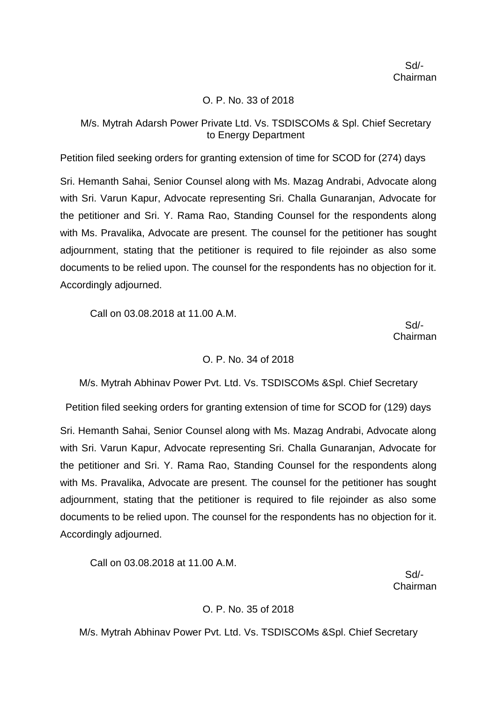## O. P. No. 33 of 2018

## M/s. Mytrah Adarsh Power Private Ltd. Vs. TSDISCOMs & Spl. Chief Secretary to Energy Department

Petition filed seeking orders for granting extension of time for SCOD for (274) days

Sri. Hemanth Sahai, Senior Counsel along with Ms. Mazag Andrabi, Advocate along with Sri. Varun Kapur, Advocate representing Sri. Challa Gunaranjan, Advocate for the petitioner and Sri. Y. Rama Rao, Standing Counsel for the respondents along with Ms. Pravalika, Advocate are present. The counsel for the petitioner has sought adjournment, stating that the petitioner is required to file rejoinder as also some documents to be relied upon. The counsel for the respondents has no objection for it. Accordingly adjourned.

Call on 03.08.2018 at 11.00 A.M.

 Sd/- Chairman

#### O. P. No. 34 of 2018

M/s. Mytrah Abhinav Power Pvt. Ltd. Vs. TSDISCOMs &Spl. Chief Secretary

Petition filed seeking orders for granting extension of time for SCOD for (129) days Sri. Hemanth Sahai, Senior Counsel along with Ms. Mazag Andrabi, Advocate along with Sri. Varun Kapur, Advocate representing Sri. Challa Gunaranjan, Advocate for the petitioner and Sri. Y. Rama Rao, Standing Counsel for the respondents along with Ms. Pravalika, Advocate are present. The counsel for the petitioner has sought adjournment, stating that the petitioner is required to file rejoinder as also some documents to be relied upon. The counsel for the respondents has no objection for it. Accordingly adjourned.

Call on 03.08.2018 at 11.00 A.M.

 Sd/- Chairman

# O. P. No. 35 of 2018

M/s. Mytrah Abhinav Power Pvt. Ltd. Vs. TSDISCOMs &Spl. Chief Secretary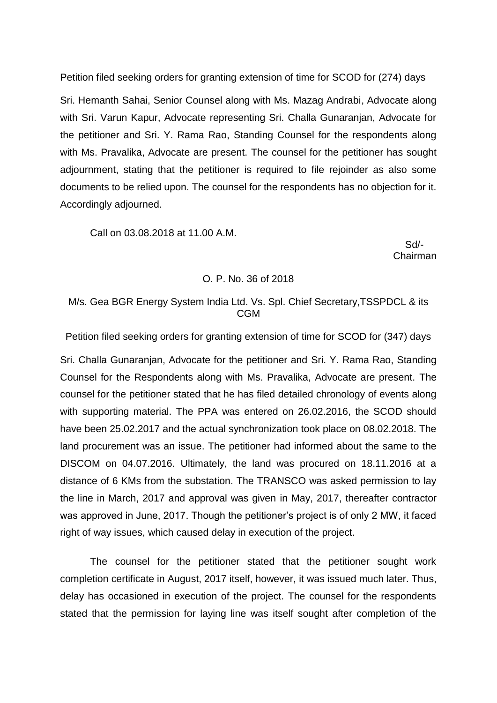Petition filed seeking orders for granting extension of time for SCOD for (274) days

Sri. Hemanth Sahai, Senior Counsel along with Ms. Mazag Andrabi, Advocate along with Sri. Varun Kapur, Advocate representing Sri. Challa Gunaranjan, Advocate for the petitioner and Sri. Y. Rama Rao, Standing Counsel for the respondents along with Ms. Pravalika, Advocate are present. The counsel for the petitioner has sought adjournment, stating that the petitioner is required to file rejoinder as also some documents to be relied upon. The counsel for the respondents has no objection for it. Accordingly adjourned.

Call on 03.08.2018 at 11.00 A.M.

 Sd/- Chairman

#### O. P. No. 36 of 2018

# M/s. Gea BGR Energy System India Ltd. Vs. Spl. Chief Secretary,TSSPDCL & its CGM

Petition filed seeking orders for granting extension of time for SCOD for (347) days

Sri. Challa Gunaranjan, Advocate for the petitioner and Sri. Y. Rama Rao, Standing Counsel for the Respondents along with Ms. Pravalika, Advocate are present. The counsel for the petitioner stated that he has filed detailed chronology of events along with supporting material. The PPA was entered on 26.02.2016, the SCOD should have been 25.02.2017 and the actual synchronization took place on 08.02.2018. The land procurement was an issue. The petitioner had informed about the same to the DISCOM on 04.07.2016. Ultimately, the land was procured on 18.11.2016 at a distance of 6 KMs from the substation. The TRANSCO was asked permission to lay the line in March, 2017 and approval was given in May, 2017, thereafter contractor was approved in June, 2017. Though the petitioner's project is of only 2 MW, it faced right of way issues, which caused delay in execution of the project.

The counsel for the petitioner stated that the petitioner sought work completion certificate in August, 2017 itself, however, it was issued much later. Thus, delay has occasioned in execution of the project. The counsel for the respondents stated that the permission for laying line was itself sought after completion of the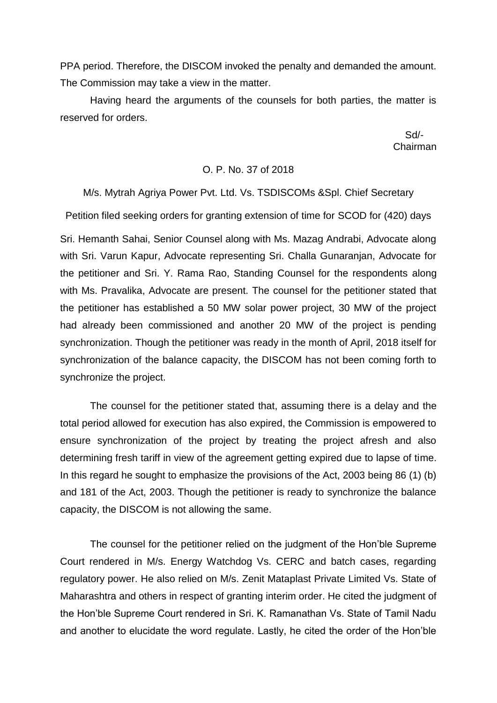PPA period. Therefore, the DISCOM invoked the penalty and demanded the amount. The Commission may take a view in the matter.

Having heard the arguments of the counsels for both parties, the matter is reserved for orders.

 Sd/- Chairman

#### O. P. No. 37 of 2018

#### M/s. Mytrah Agriya Power Pvt. Ltd. Vs. TSDISCOMs &Spl. Chief Secretary

Petition filed seeking orders for granting extension of time for SCOD for (420) days

Sri. Hemanth Sahai, Senior Counsel along with Ms. Mazag Andrabi, Advocate along with Sri. Varun Kapur, Advocate representing Sri. Challa Gunaranjan, Advocate for the petitioner and Sri. Y. Rama Rao, Standing Counsel for the respondents along with Ms. Pravalika, Advocate are present. The counsel for the petitioner stated that the petitioner has established a 50 MW solar power project, 30 MW of the project had already been commissioned and another 20 MW of the project is pending synchronization. Though the petitioner was ready in the month of April, 2018 itself for synchronization of the balance capacity, the DISCOM has not been coming forth to synchronize the project.

The counsel for the petitioner stated that, assuming there is a delay and the total period allowed for execution has also expired, the Commission is empowered to ensure synchronization of the project by treating the project afresh and also determining fresh tariff in view of the agreement getting expired due to lapse of time. In this regard he sought to emphasize the provisions of the Act, 2003 being 86 (1) (b) and 181 of the Act, 2003. Though the petitioner is ready to synchronize the balance capacity, the DISCOM is not allowing the same.

The counsel for the petitioner relied on the judgment of the Hon'ble Supreme Court rendered in M/s. Energy Watchdog Vs. CERC and batch cases, regarding regulatory power. He also relied on M/s. Zenit Mataplast Private Limited Vs. State of Maharashtra and others in respect of granting interim order. He cited the judgment of the Hon'ble Supreme Court rendered in Sri. K. Ramanathan Vs. State of Tamil Nadu and another to elucidate the word regulate. Lastly, he cited the order of the Hon'ble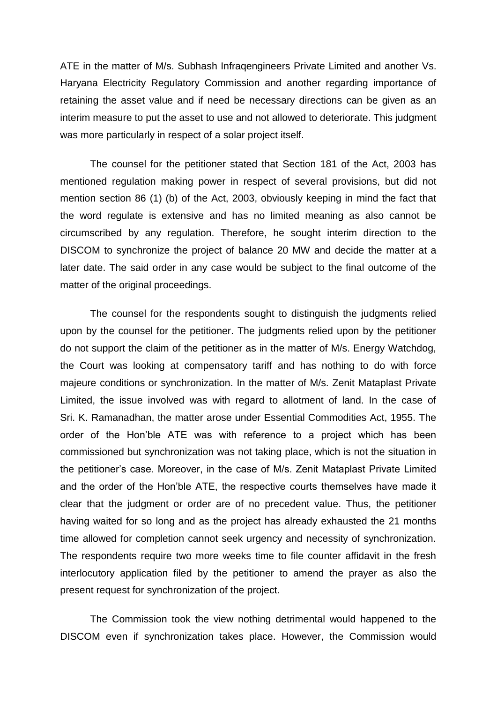ATE in the matter of M/s. Subhash Infraqengineers Private Limited and another Vs. Haryana Electricity Regulatory Commission and another regarding importance of retaining the asset value and if need be necessary directions can be given as an interim measure to put the asset to use and not allowed to deteriorate. This judgment was more particularly in respect of a solar project itself.

The counsel for the petitioner stated that Section 181 of the Act, 2003 has mentioned regulation making power in respect of several provisions, but did not mention section 86 (1) (b) of the Act, 2003, obviously keeping in mind the fact that the word regulate is extensive and has no limited meaning as also cannot be circumscribed by any regulation. Therefore, he sought interim direction to the DISCOM to synchronize the project of balance 20 MW and decide the matter at a later date. The said order in any case would be subject to the final outcome of the matter of the original proceedings.

The counsel for the respondents sought to distinguish the judgments relied upon by the counsel for the petitioner. The judgments relied upon by the petitioner do not support the claim of the petitioner as in the matter of M/s. Energy Watchdog, the Court was looking at compensatory tariff and has nothing to do with force majeure conditions or synchronization. In the matter of M/s. Zenit Mataplast Private Limited, the issue involved was with regard to allotment of land. In the case of Sri. K. Ramanadhan, the matter arose under Essential Commodities Act, 1955. The order of the Hon'ble ATE was with reference to a project which has been commissioned but synchronization was not taking place, which is not the situation in the petitioner's case. Moreover, in the case of M/s. Zenit Mataplast Private Limited and the order of the Hon'ble ATE, the respective courts themselves have made it clear that the judgment or order are of no precedent value. Thus, the petitioner having waited for so long and as the project has already exhausted the 21 months time allowed for completion cannot seek urgency and necessity of synchronization. The respondents require two more weeks time to file counter affidavit in the fresh interlocutory application filed by the petitioner to amend the prayer as also the present request for synchronization of the project.

The Commission took the view nothing detrimental would happened to the DISCOM even if synchronization takes place. However, the Commission would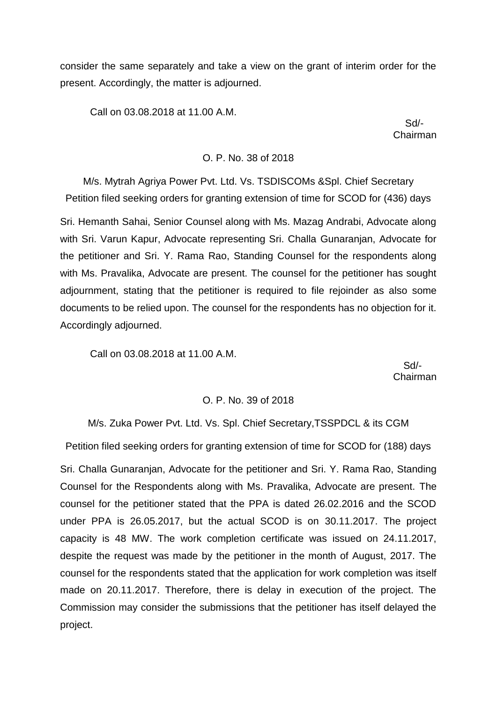consider the same separately and take a view on the grant of interim order for the present. Accordingly, the matter is adjourned.

Call on 03.08.2018 at 11.00 A.M.

 Sd/- Chairman

#### O. P. No. 38 of 2018

M/s. Mytrah Agriya Power Pvt. Ltd. Vs. TSDISCOMs &Spl. Chief Secretary Petition filed seeking orders for granting extension of time for SCOD for (436) days

Sri. Hemanth Sahai, Senior Counsel along with Ms. Mazag Andrabi, Advocate along with Sri. Varun Kapur, Advocate representing Sri. Challa Gunaranjan, Advocate for the petitioner and Sri. Y. Rama Rao, Standing Counsel for the respondents along with Ms. Pravalika, Advocate are present. The counsel for the petitioner has sought adjournment, stating that the petitioner is required to file rejoinder as also some documents to be relied upon. The counsel for the respondents has no objection for it. Accordingly adjourned.

Call on 03.08.2018 at 11.00 A.M.

 Sd/- Chairman

#### O. P. No. 39 of 2018

M/s. Zuka Power Pvt. Ltd. Vs. Spl. Chief Secretary,TSSPDCL & its CGM

Petition filed seeking orders for granting extension of time for SCOD for (188) days

Sri. Challa Gunaranjan, Advocate for the petitioner and Sri. Y. Rama Rao, Standing Counsel for the Respondents along with Ms. Pravalika, Advocate are present. The counsel for the petitioner stated that the PPA is dated 26.02.2016 and the SCOD under PPA is 26.05.2017, but the actual SCOD is on 30.11.2017. The project capacity is 48 MW. The work completion certificate was issued on 24.11.2017, despite the request was made by the petitioner in the month of August, 2017. The counsel for the respondents stated that the application for work completion was itself made on 20.11.2017. Therefore, there is delay in execution of the project. The Commission may consider the submissions that the petitioner has itself delayed the project.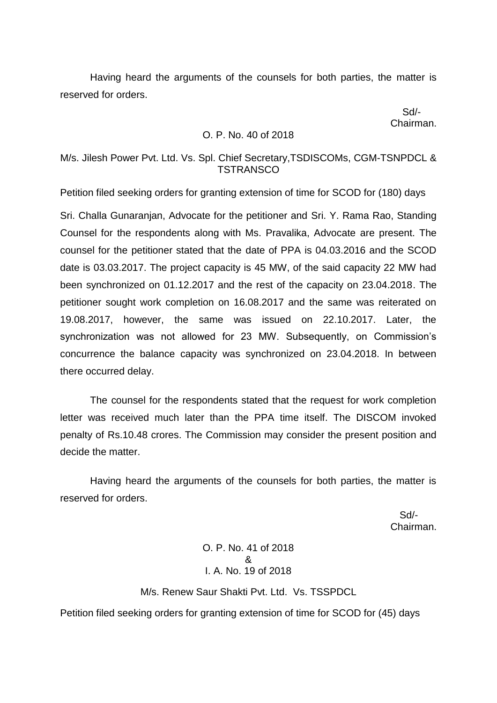Having heard the arguments of the counsels for both parties, the matter is reserved for orders.

 Sd/- Chairman.

### O. P. No. 40 of 2018

## M/s. Jilesh Power Pvt. Ltd. Vs. Spl. Chief Secretary,TSDISCOMs, CGM-TSNPDCL & **TSTRANSCO**

Petition filed seeking orders for granting extension of time for SCOD for (180) days

Sri. Challa Gunaranjan, Advocate for the petitioner and Sri. Y. Rama Rao, Standing Counsel for the respondents along with Ms. Pravalika, Advocate are present. The counsel for the petitioner stated that the date of PPA is 04.03.2016 and the SCOD date is 03.03.2017. The project capacity is 45 MW, of the said capacity 22 MW had been synchronized on 01.12.2017 and the rest of the capacity on 23.04.2018. The petitioner sought work completion on 16.08.2017 and the same was reiterated on 19.08.2017, however, the same was issued on 22.10.2017. Later, the synchronization was not allowed for 23 MW. Subsequently, on Commission's concurrence the balance capacity was synchronized on 23.04.2018. In between there occurred delay.

The counsel for the respondents stated that the request for work completion letter was received much later than the PPA time itself. The DISCOM invoked penalty of Rs.10.48 crores. The Commission may consider the present position and decide the matter.

Having heard the arguments of the counsels for both parties, the matter is reserved for orders.

 Sd/- Chairman.

> O. P. No. 41 of 2018 & I. A. No. 19 of 2018

M/s. Renew Saur Shakti Pvt. Ltd. Vs. TSSPDCL

Petition filed seeking orders for granting extension of time for SCOD for (45) days